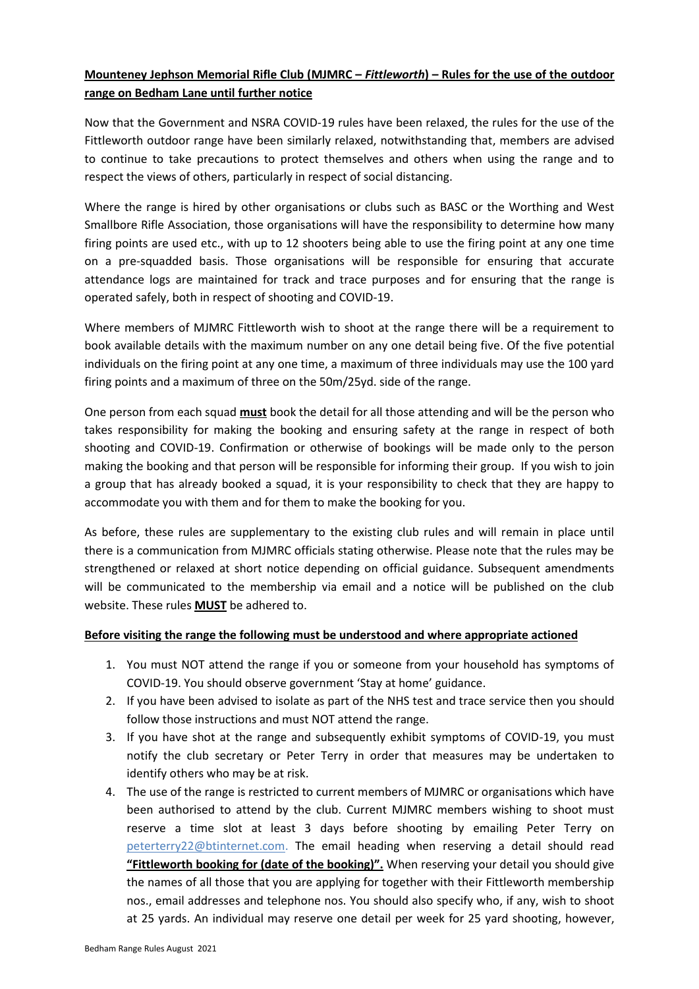## **Mounteney Jephson Memorial Rifle Club (MJMRC –** *Fittleworth***) – Rules for the use of the outdoor range on Bedham Lane until further notice**

Now that the Government and NSRA COVID-19 rules have been relaxed, the rules for the use of the Fittleworth outdoor range have been similarly relaxed, notwithstanding that, members are advised to continue to take precautions to protect themselves and others when using the range and to respect the views of others, particularly in respect of social distancing.

Where the range is hired by other organisations or clubs such as BASC or the Worthing and West Smallbore Rifle Association, those organisations will have the responsibility to determine how many firing points are used etc., with up to 12 shooters being able to use the firing point at any one time on a pre-squadded basis. Those organisations will be responsible for ensuring that accurate attendance logs are maintained for track and trace purposes and for ensuring that the range is operated safely, both in respect of shooting and COVID-19.

Where members of MJMRC Fittleworth wish to shoot at the range there will be a requirement to book available details with the maximum number on any one detail being five. Of the five potential individuals on the firing point at any one time, a maximum of three individuals may use the 100 yard firing points and a maximum of three on the 50m/25yd. side of the range.

One person from each squad **must** book the detail for all those attending and will be the person who takes responsibility for making the booking and ensuring safety at the range in respect of both shooting and COVID-19. Confirmation or otherwise of bookings will be made only to the person making the booking and that person will be responsible for informing their group. If you wish to join a group that has already booked a squad, it is your responsibility to check that they are happy to accommodate you with them and for them to make the booking for you.

As before, these rules are supplementary to the existing club rules and will remain in place until there is a communication from MJMRC officials stating otherwise. Please note that the rules may be strengthened or relaxed at short notice depending on official guidance. Subsequent amendments will be communicated to the membership via email and a notice will be published on the club website. These rules **MUST** be adhered to.

## **Before visiting the range the following must be understood and where appropriate actioned**

- 1. You must NOT attend the range if you or someone from your household has symptoms of COVID-19. You should observe government 'Stay at home' guidance.
- 2. If you have been advised to isolate as part of the NHS test and trace service then you should follow those instructions and must NOT attend the range.
- 3. If you have shot at the range and subsequently exhibit symptoms of COVID-19, you must notify the club secretary or Peter Terry in order that measures may be undertaken to identify others who may be at risk.
- 4. The use of the range is restricted to current members of MJMRC or organisations which have been authorised to attend by the club. Current MJMRC members wishing to shoot must reserve a time slot at least 3 days before shooting by emailing Peter Terry on [peterterry22@btinternet.com.](mailto:peterterry22@btinternet.com) The email heading when reserving a detail should read **"Fittleworth booking for (date of the booking)".** When reserving your detail you should give the names of all those that you are applying for together with their Fittleworth membership nos., email addresses and telephone nos. You should also specify who, if any, wish to shoot at 25 yards. An individual may reserve one detail per week for 25 yard shooting, however,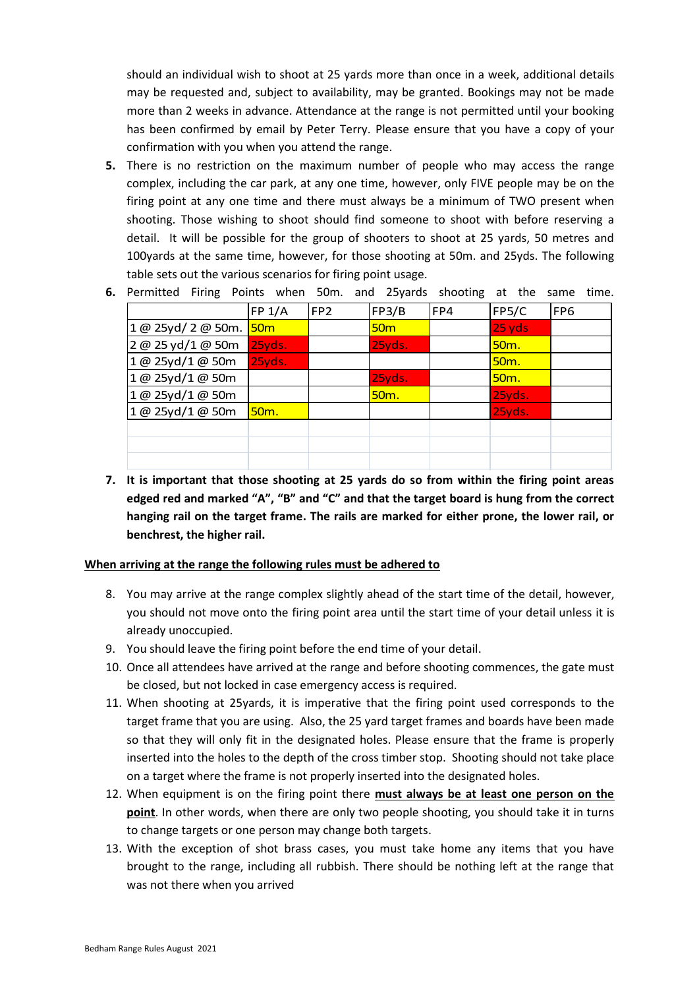should an individual wish to shoot at 25 yards more than once in a week, additional details may be requested and, subject to availability, may be granted. Bookings may not be made more than 2 weeks in advance. Attendance at the range is not permitted until your booking has been confirmed by email by Peter Terry. Please ensure that you have a copy of your confirmation with you when you attend the range.

- **5.** There is no restriction on the maximum number of people who may access the range complex, including the car park, at any one time, however, only FIVE people may be on the firing point at any one time and there must always be a minimum of TWO present when shooting. Those wishing to shoot should find someone to shoot with before reserving a detail. It will be possible for the group of shooters to shoot at 25 yards, 50 metres and 100yards at the same time, however, for those shooting at 50m. and 25yds. The following table sets out the various scenarios for firing point usage.
- **6.** Permitted Firing Points when 50m. and 25yards shooting at the same time.

|                    | FP 1/A          | FP <sub>2</sub> | FP3/B             | FP4 | FP5/C             | FP <sub>6</sub> |
|--------------------|-----------------|-----------------|-------------------|-----|-------------------|-----------------|
| 1 @ 25yd/ 2 @ 50m. | 50 <sub>m</sub> |                 | 50 <sub>m</sub>   |     | 25 yds            |                 |
| 2 @ 25 yd/1 @ 50m  | 25yds.          |                 | 25yds.            |     | 50 <sub>m</sub> . |                 |
| 1@ 25yd/1@ 50m     | 25yds.          |                 |                   |     | 50 <sub>m</sub> . |                 |
| 1@ 25yd/1@ 50m     |                 |                 | 25yds.            |     | 50 <sub>m</sub> . |                 |
| 1@ 25yd/1@ 50m     |                 |                 | 50 <sub>m</sub> . |     | 25yds.            |                 |
| 1@ 25yd/1@ 50m     | <b>50m.</b>     |                 |                   |     | 25yds.            |                 |
|                    |                 |                 |                   |     |                   |                 |
|                    |                 |                 |                   |     |                   |                 |
|                    |                 |                 |                   |     |                   |                 |

**7. It is important that those shooting at 25 yards do so from within the firing point areas edged red and marked "A", "B" and "C" and that the target board is hung from the correct hanging rail on the target frame. The rails are marked for either prone, the lower rail, or benchrest, the higher rail.**

## **When arriving at the range the following rules must be adhered to**

- 8. You may arrive at the range complex slightly ahead of the start time of the detail, however, you should not move onto the firing point area until the start time of your detail unless it is already unoccupied.
- 9. You should leave the firing point before the end time of your detail.
- 10. Once all attendees have arrived at the range and before shooting commences, the gate must be closed, but not locked in case emergency access is required.
- 11. When shooting at 25yards, it is imperative that the firing point used corresponds to the target frame that you are using. Also, the 25 yard target frames and boards have been made so that they will only fit in the designated holes. Please ensure that the frame is properly inserted into the holes to the depth of the cross timber stop. Shooting should not take place on a target where the frame is not properly inserted into the designated holes.
- 12. When equipment is on the firing point there **must always be at least one person on the point**. In other words, when there are only two people shooting, you should take it in turns to change targets or one person may change both targets.
- 13. With the exception of shot brass cases, you must take home any items that you have brought to the range, including all rubbish. There should be nothing left at the range that was not there when you arrived